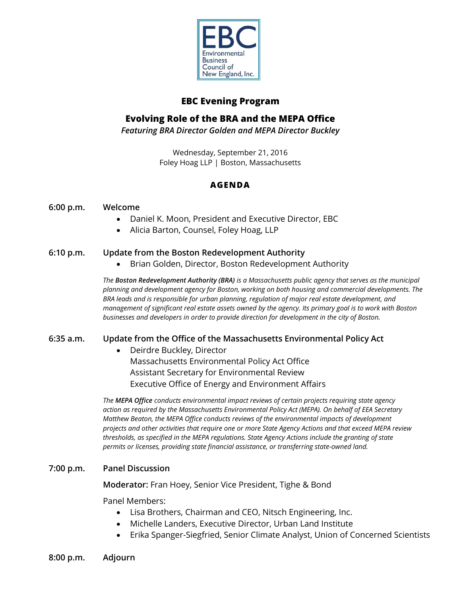

# **EBC Evening Program**

# **Evolving Role of the BRA and the MEPA Office**

*Featuring BRA Director Golden and MEPA Director Buckley*

Wednesday, September 21, 2016 Foley Hoag LLP | Boston, Massachusetts

## **AGENDA**

## **6:00 p.m. Welcome**

- Daniel K. Moon, President and Executive Director, EBC
- Alicia Barton, Counsel, Foley Hoag, LLP

## **6:10 p.m. Update from the Boston Redevelopment Authority**

• Brian Golden, Director, Boston Redevelopment Authority

*The Boston Redevelopment Authority (BRA) is a Massachusetts public agency that serves as the municipal planning and development agency for Boston, working on both housing and commercial developments. The BRA leads and is responsible for urban planning, regulation of major real estate development, and management of significant real estate assets owned by the agency. Its primary goal is to work with Boston businesses and developers in order to provide direction for development in the city of Boston.*

## **6:35 a.m. Update from the Office of the Massachusetts Environmental Policy Act**

• Deirdre Buckley, Director Massachusetts Environmental Policy Act Office Assistant Secretary for Environmental Review Executive Office of Energy and Environment Affairs

*The MEPA Office conducts environmental impact reviews of certain projects requiring state agency action as required by the Massachusetts Environmental Policy Act (MEPA). On behalf of EEA Secretary Matthew Beaton, the MEPA Office conducts reviews of the environmental impacts of development projects and other activities that require one or more State Agency Actions and that exceed MEPA review thresholds, as specified in the MEPA regulations. State Agency Actions include the granting of state permits or licenses, providing state financial assistance, or transferring state-owned land.*

## **7:00 p.m. Panel Discussion**

**Moderator:** Fran Hoey, Senior Vice President, Tighe & Bond

Panel Members:

- Lisa Brothers, Chairman and CEO, Nitsch Engineering, Inc.
- Michelle Landers, Executive Director, Urban Land Institute
- Erika Spanger-Siegfried, Senior Climate Analyst, Union of Concerned Scientists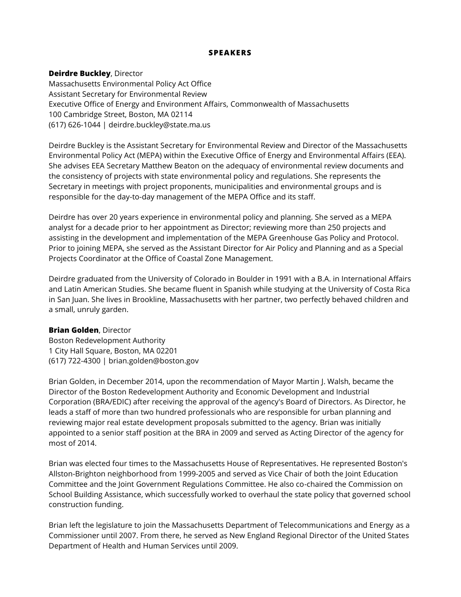#### **SPEAKERS**

#### **Deirdre Buckley**, Director

Massachusetts Environmental Policy Act Office Assistant Secretary for Environmental Review Executive Office of Energy and Environment Affairs, Commonwealth of Massachusetts 100 Cambridge Street, Boston, MA 02114 (617) 626-1044 | deirdre.buckley@state.ma.us

Deirdre Buckley is the Assistant Secretary for Environmental Review and Director of the Massachusetts Environmental Policy Act (MEPA) within the Executive Office of Energy and Environmental Affairs (EEA). She advises EEA Secretary Matthew Beaton on the adequacy of environmental review documents and the consistency of projects with state environmental policy and regulations. She represents the Secretary in meetings with project proponents, municipalities and environmental groups and is responsible for the day-to-day management of the MEPA Office and its staff.

Deirdre has over 20 years experience in environmental policy and planning. She served as a MEPA analyst for a decade prior to her appointment as Director; reviewing more than 250 projects and assisting in the development and implementation of the MEPA Greenhouse Gas Policy and Protocol. Prior to joining MEPA, she served as the Assistant Director for Air Policy and Planning and as a Special Projects Coordinator at the Office of Coastal Zone Management.

Deirdre graduated from the University of Colorado in Boulder in 1991 with a B.A. in International Affairs and Latin American Studies. She became fluent in Spanish while studying at the University of Costa Rica in San Juan. She lives in Brookline, Massachusetts with her partner, two perfectly behaved children and a small, unruly garden.

#### **Brian Golden**, Director

Boston Redevelopment Authority 1 City Hall Square, Boston, MA 02201 (617) 722-4300 | brian.golden@boston.gov

Brian Golden, in December 2014, upon the recommendation of Mayor Martin J. Walsh, became the Director of the Boston Redevelopment Authority and Economic Development and Industrial Corporation (BRA/EDIC) after receiving the approval of the agency's Board of Directors. As Director, he leads a staff of more than two hundred professionals who are responsible for urban planning and reviewing major real estate development proposals submitted to the agency. Brian was initially appointed to a senior staff position at the BRA in 2009 and served as Acting Director of the agency for most of 2014.

Brian was elected four times to the Massachusetts House of Representatives. He represented Boston's Allston-Brighton neighborhood from 1999-2005 and served as Vice Chair of both the Joint Education Committee and the Joint Government Regulations Committee. He also co-chaired the Commission on School Building Assistance, which successfully worked to overhaul the state policy that governed school construction funding.

Brian left the legislature to join the Massachusetts Department of Telecommunications and Energy as a Commissioner until 2007. From there, he served as New England Regional Director of the United States Department of Health and Human Services until 2009.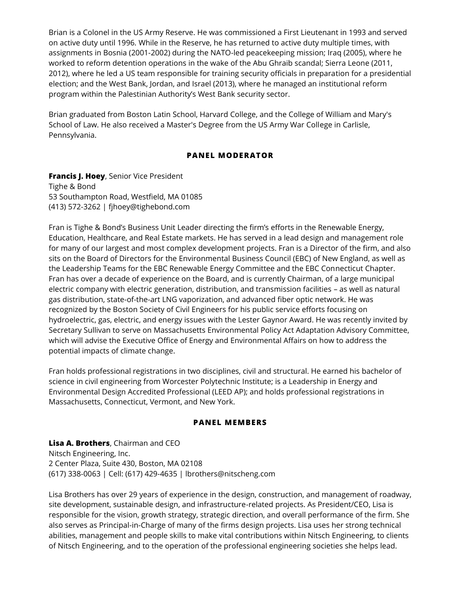Brian is a Colonel in the US Army Reserve. He was commissioned a First Lieutenant in 1993 and served on active duty until 1996. While in the Reserve, he has returned to active duty multiple times, with assignments in Bosnia (2001-2002) during the NATO-led peacekeeping mission; Iraq (2005), where he worked to reform detention operations in the wake of the Abu Ghraib scandal; Sierra Leone (2011, 2012), where he led a US team responsible for training security officials in preparation for a presidential election; and the West Bank, Jordan, and Israel (2013), where he managed an institutional reform program within the Palestinian Authority's West Bank security sector.

Brian graduated from Boston Latin School, Harvard College, and the College of William and Mary's School of Law. He also received a Master's Degree from the US Army War College in Carlisle, Pennsylvania.

#### **PANEL MODERATOR**

**Francis J. Hoey**, Senior Vice President Tighe & Bond 53 Southampton Road, Westfield, MA 01085 (413) 572-3262 | fjhoey@tighebond.com

Fran is Tighe & Bond's Business Unit Leader directing the firm's efforts in the Renewable Energy, Education, Healthcare, and Real Estate markets. He has served in a lead design and management role for many of our largest and most complex development projects. Fran is a Director of the firm, and also sits on the Board of Directors for the Environmental Business Council (EBC) of New England, as well as the Leadership Teams for the EBC Renewable Energy Committee and the EBC Connecticut Chapter. Fran has over a decade of experience on the Board, and is currently Chairman, of a large municipal electric company with electric generation, distribution, and transmission facilities – as well as natural gas distribution, state-of-the-art LNG vaporization, and advanced fiber optic network. He was recognized by the Boston Society of Civil Engineers for his public service efforts focusing on hydroelectric, gas, electric, and energy issues with the Lester Gaynor Award. He was recently invited by Secretary Sullivan to serve on Massachusetts Environmental Policy Act Adaptation Advisory Committee, which will advise the Executive Office of Energy and Environmental Affairs on how to address the potential impacts of climate change.

Fran holds professional registrations in two disciplines, civil and structural. He earned his bachelor of science in civil engineering from Worcester Polytechnic Institute; is a Leadership in Energy and Environmental Design Accredited Professional (LEED AP); and holds professional registrations in Massachusetts, Connecticut, Vermont, and New York.

#### **PANEL MEMBERS**

**Lisa A. Brothers**, Chairman and CEO Nitsch Engineering, Inc. 2 Center Plaza, Suite 430, Boston, MA 02108 (617) 338-0063 | Cell: (617) 429-4635 | lbrothers@nitscheng.com

Lisa Brothers has over 29 years of experience in the design, construction, and management of roadway, site development, sustainable design, and infrastructure-related projects. As President/CEO, Lisa is responsible for the vision, growth strategy, strategic direction, and overall performance of the firm. She also serves as Principal-in-Charge of many of the firms design projects. Lisa uses her strong technical abilities, management and people skills to make vital contributions within Nitsch Engineering, to clients of Nitsch Engineering, and to the operation of the professional engineering societies she helps lead.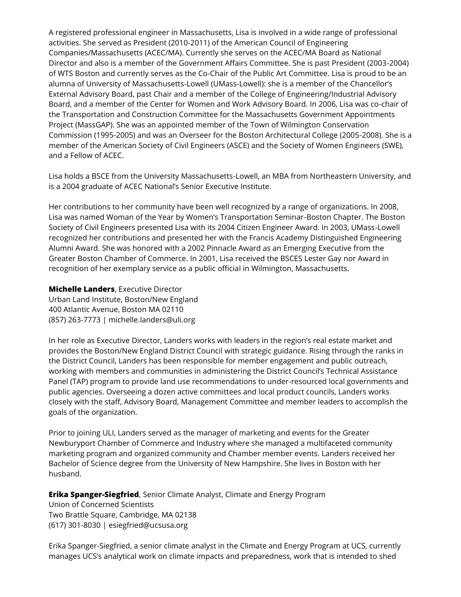A registered professional engineer in Massachusetts, Lisa is involved in a wide range of professional activities. She served as President (2010-2011) of the American Council of Engineering Companies/Massachusetts (ACEC/MA). Currently she serves on the ACEC/MA Board as National Director and also is a member of the Government Affairs Committee. She is past President (2003-2004) of WTS Boston and currently serves as the Co-Chair of the Public Art Committee. Lisa is proud to be an alumna of University of Massachusetts-Lowell (UMass-Lowell): she is a member of the Chancellor's External Advisory Board, past Chair and a member of the College of Engineering/Industrial Advisory Board, and a member of the Center for Women and Work Advisory Board. In 2006, Lisa was co-chair of the Transportation and Construction Committee for the Massachusetts Government Appointments Project (MassGAP). She was an appointed member of the Town of Wilmington Conservation Commission (1995-2005) and was an Overseer for the Boston Architectural College (2005-2008). She is a member of the American Society of Civil Engineers (ASCE) and the Society of Women Engineers (SWE), and a Fellow of ACEC.

Lisa holds a BSCE from the University Massachusetts-Lowell, an MBA from Northeastern University, and is a 2004 graduate of ACEC National's Senior Executive Institute.

Her contributions to her community have been well recognized by a range of organizations. In 2008, Lisa was named Woman of the Year by Women's Transportation Seminar-Boston Chapter. The Boston Society of Civil Engineers presented Lisa with its 2004 Citizen Engineer Award. In 2003, UMass-Lowell recognized her contributions and presented her with the Francis Academy Distinguished Engineering Alumni Award. She was honored with a 2002 Pinnacle Award as an Emerging Executive from the Greater Boston Chamber of Commerce. In 2001, Lisa received the BSCES Lester Gay nor Award in recognition of her exemplary service as a public official in Wilmington, Massachusetts.

**Michelle Landers**, Executive Director Urban Land Institute, Boston/New England 400 Atlantic Avenue, Boston MA 02110 (857) 263-7773 | michelle.landers@uli.org

In her role as Executive Director, Landers works with leaders in the region's real estate market and provides the Boston/New England District Council with strategic guidance. Rising through the ranks in the District Council, Landers has been responsible for member engagement and public outreach, working with members and communities in administering the District Council's Technical Assistance Panel (TAP) program to provide land use recommendations to under-resourced local governments and public agencies. Overseeing a dozen active committees and local product councils, Landers works closely with the staff, Advisory Board, Management Committee and member leaders to accomplish the goals of the organization.

Prior to joining ULI, Landers served as the manager of marketing and events for the Greater Newburyport Chamber of Commerce and Industry where she managed a multifaceted community marketing program and organized community and Chamber member events. Landers received her Bachelor of Science degree from the University of New Hampshire. She lives in Boston with her husband.

**Erika Spanger-Siegfried**, Senior Climate Analyst, Climate and Energy Program Union of Concerned Scientists Two Brattle Square, Cambridge, MA 02138 (617) 301-8030 | esiegfried@ucsusa.org

Erika Spanger-Siegfried, a senior climate analyst in the Climate and Energy Program at UCS, currently manages UCS's analytical work on climate impacts and preparedness, work that is intended to shed